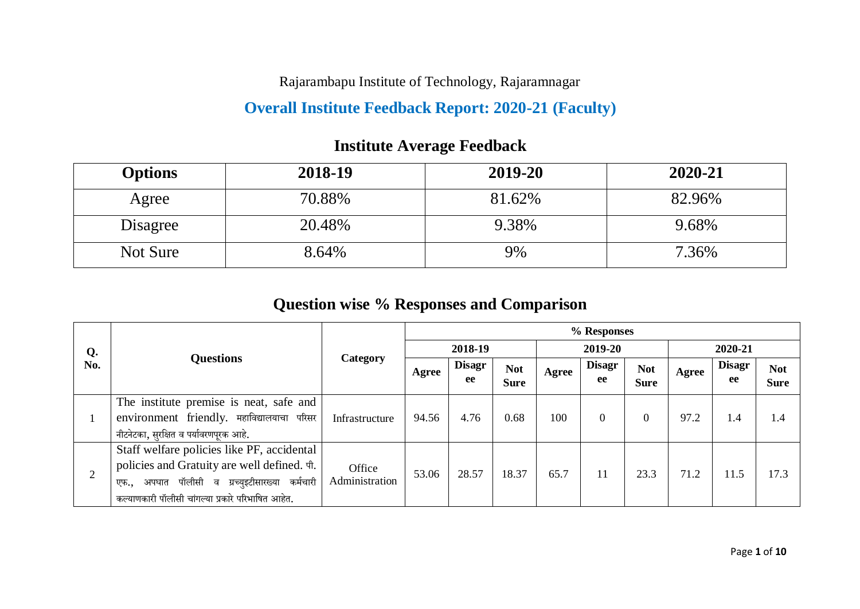Rajarambapu Institute of Technology, Rajaramnagar

## **Overall Institute Feedback Report: 2020-21 (Faculty)**

# **Options 2018-19 2019-20 2020-21** Agree 70.88% 81.62% 82.96% Disagree 20.48% 9.38% 9.68% Not Sure 1 8.64% 1 9% 1 36%

## **Institute Average Feedback**

## **Question wise % Responses and Comparison**

|                |                                                                                                                                                                                                              |                          | % Responses |                     |                           |       |                     |                           |       |                     |                           |  |
|----------------|--------------------------------------------------------------------------------------------------------------------------------------------------------------------------------------------------------------|--------------------------|-------------|---------------------|---------------------------|-------|---------------------|---------------------------|-------|---------------------|---------------------------|--|
| Q.             |                                                                                                                                                                                                              |                          |             | 2018-19             |                           |       | 2019-20             |                           |       | 2020-21             |                           |  |
| No.            | <b>Questions</b>                                                                                                                                                                                             | Category                 | Agree       | <b>Disagr</b><br>ee | <b>Not</b><br><b>Sure</b> | Agree | <b>Disagr</b><br>ee | <b>Not</b><br><b>Sure</b> | Agree | <b>Disagr</b><br>ee | <b>Not</b><br><b>Sure</b> |  |
|                | The institute premise is neat, safe and<br>environment friendly. महाविद्यालयाचा परिसर<br>नीटनेटका, सुरक्षित व पर्यावरणपूरक आहे.                                                                              | Infrastructure           | 94.56       | 4.76                | 0.68                      | 100   | $\overline{0}$      |                           | 97.2  | 1.4                 | 1.4                       |  |
| $\overline{2}$ | Staff welfare policies like PF, accidental<br>policies and Gratuity are well defined. $\n $ fi.<br>अपघात पॉलीसी व ग्रच्युइटीसारख्या<br>कर्मचारी<br>एफ.,<br>कल्याणकारी पॉलीसी चांगल्या प्रकारे परिभाषित आहेत. | Office<br>Administration | 53.06       | 28.57               | 18.37                     | 65.7  | 11                  | 23.3                      | 71.2  | 11.5                | 17.3                      |  |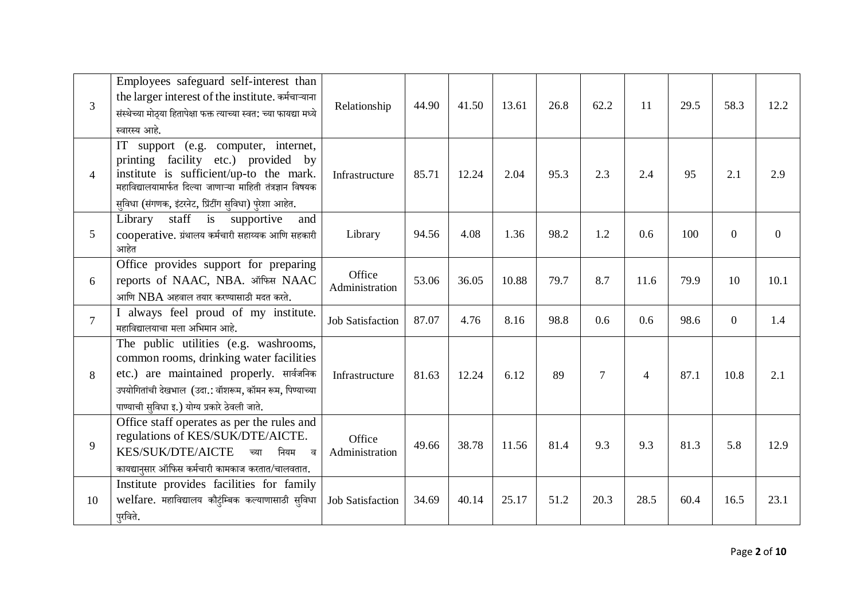| $\overline{3}$ | Employees safeguard self-interest than<br>the larger interest of the institute. कर्मचाऱ्याना<br>संस्थेच्या मोठ्या हितापेक्षा फक्त त्याच्या स्वत: च्या फायद्या मध्ये<br>स्वारस्य आहे.                                                           | Relationship             | 44.90 | 41.50 | 13.61 | 26.8 | 62.2           | 11             | 29.5 | 58.3           | 12.2           |
|----------------|------------------------------------------------------------------------------------------------------------------------------------------------------------------------------------------------------------------------------------------------|--------------------------|-------|-------|-------|------|----------------|----------------|------|----------------|----------------|
| $\overline{4}$ | IT support (e.g. computer, internet,<br>printing facility etc.) provided by<br>institute is sufficient/up-to the mark.<br>महाविद्यालयामार्फत दिल्या जाणाऱ्या माहिती तंत्रज्ञान विषयक<br>सुविधा (संगणक, इंटरनेट, प्रिंटींग सुविधा) पुरेशा आहेत. | Infrastructure           | 85.71 | 12.24 | 2.04  | 95.3 | 2.3            | 2.4            | 95   | 2.1            | 2.9            |
| 5              | staff is<br>Library<br>supportive<br>and<br>cooperative. ग्रंथालय कर्मचारी सहाय्यक आणि सहकारी<br>आहेत                                                                                                                                          | Library                  | 94.56 | 4.08  | 1.36  | 98.2 | 1.2            | 0.6            | 100  | $\overline{0}$ | $\overline{0}$ |
| 6              | Office provides support for preparing<br>reports of NAAC, NBA. ऑफिस NAAC<br>आणि $NBA$ अहवाल तयार करण्यासाठी मदत करते.                                                                                                                          | Office<br>Administration | 53.06 | 36.05 | 10.88 | 79.7 | 8.7            | 11.6           | 79.9 | 10             | 10.1           |
| $\overline{7}$ | I always feel proud of my institute.<br>महाविद्यालयाचा मला अभिमान आहे.                                                                                                                                                                         | <b>Job Satisfaction</b>  | 87.07 | 4.76  | 8.16  | 98.8 | 0.6            | 0.6            | 98.6 | $\overline{0}$ | 1.4            |
| 8              | The public utilities (e.g. washrooms,<br>common rooms, drinking water facilities<br>etc.) are maintained properly. सार्वजनिक<br>उपयोगितांची देखभाल (उदा.: वॉशरूम, कॉमन रूम, पिण्याच्या<br>पाण्याची सुविधा इ.) योग्य प्रकारे ठेवली जाते.        | Infrastructure           | 81.63 | 12.24 | 6.12  | 89   | $\overline{7}$ | $\overline{4}$ | 87.1 | 10.8           | 2.1            |
| 9              | Office staff operates as per the rules and<br>regulations of KES/SUK/DTE/AICTE.<br><b>KES/SUK/DTE/AICTE</b><br>नियम<br>च्या<br>ਕ<br>कायद्यानुसार ऑफिस कर्मचारी कामकाज करतात/चालवतात.                                                           | Office<br>Administration | 49.66 | 38.78 | 11.56 | 81.4 | 9.3            | 9.3            | 81.3 | 5.8            | 12.9           |
| 10             | Institute provides facilities for family<br>welfare. महाविद्यालय कौटुंम्बिक कल्याणासाठी सुविधा<br>पुरविते.                                                                                                                                     | <b>Job Satisfaction</b>  | 34.69 | 40.14 | 25.17 | 51.2 | 20.3           | 28.5           | 60.4 | 16.5           | 23.1           |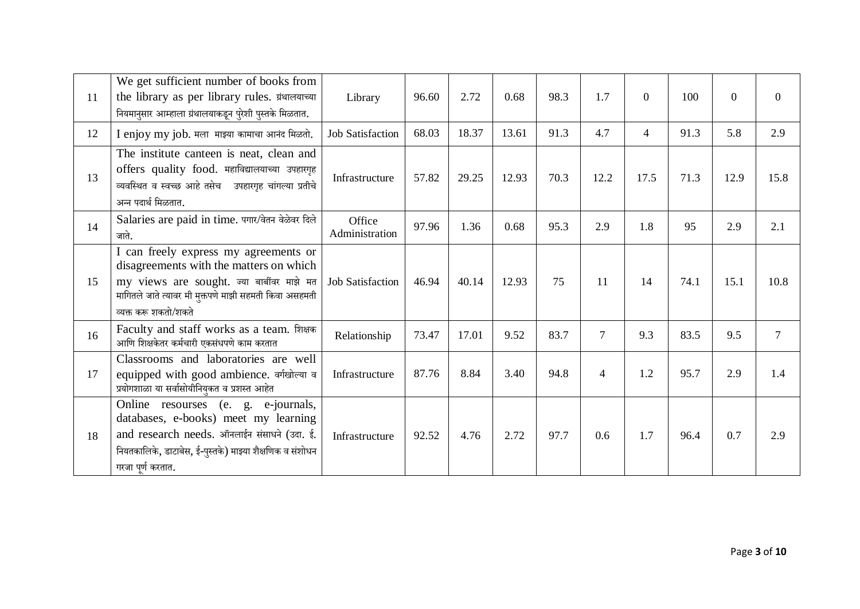| 11 | We get sufficient number of books from<br>the library as per library rules. ग्रंथालयाच्या<br>नियमानुसार आम्हाला ग्रंथालयाकडून पुरेशी पुस्तके मिळतात.                                                             | Library                  | 96.60 | 2.72  | 0.68  | 98.3 | 1.7            | $\Omega$       | 100  | $\theta$ | $\overline{0}$ |
|----|------------------------------------------------------------------------------------------------------------------------------------------------------------------------------------------------------------------|--------------------------|-------|-------|-------|------|----------------|----------------|------|----------|----------------|
| 12 | I enjoy my job. मला माझ्या कामाचा आनंद मिळतो.                                                                                                                                                                    | <b>Job Satisfaction</b>  | 68.03 | 18.37 | 13.61 | 91.3 | 4.7            | $\overline{4}$ | 91.3 | 5.8      | 2.9            |
| 13 | The institute canteen is neat, clean and<br>offers quality food. महाविद्यालयाच्या उपहारगृह<br>व्यवस्थित व स्वच्छ आहे तसेच उपहारगृह चांगल्या प्रतीचे<br>अन्न पदार्थ मिळतात.                                       | Infrastructure           | 57.82 | 29.25 | 12.93 | 70.3 | 12.2           | 17.5           | 71.3 | 12.9     | 15.8           |
| 14 | Salaries are paid in time. पगार/वेतन वेळेवर दिले<br>जाते.                                                                                                                                                        | Office<br>Administration | 97.96 | 1.36  | 0.68  | 95.3 | 2.9            | 1.8            | 95   | 2.9      | 2.1            |
| 15 | I can freely express my agreements or<br>disagreements with the matters on which<br>my views are sought. ज्या बाबींवर माझे मत<br>मागितले जाते त्यावर मी मुक्तपणे माझी सहमती किंवा असहमती<br>व्यक्त करू शकतो/शकते | <b>Job Satisfaction</b>  | 46.94 | 40.14 | 12.93 | 75   | 11             | 14             | 74.1 | 15.1     | 10.8           |
| 16 | Faculty and staff works as a team. शिक्षक<br>आणि शिक्षकेतर कर्मचारी एकसंधपणे काम करतात                                                                                                                           | Relationship             | 73.47 | 17.01 | 9.52  | 83.7 | $\overline{7}$ | 9.3            | 83.5 | 9.5      | $\overline{7}$ |
| 17 | Classrooms and laboratories are well<br>equipped with good ambience. वर्गखोल्या व<br>प्रयोगशाळा या सर्वासोयीनियुकत व प्रशस्त आहेत                                                                                | Infrastructure           | 87.76 | 8.84  | 3.40  | 94.8 | $\overline{4}$ | 1.2            | 95.7 | 2.9      | 1.4            |
| 18 | Online resourses (e. g. e-journals,<br>databases, e-books) meet my learning<br>and research needs. ऑनलाईन संसाधने (उदा. ई.<br>नियतकालिके, डाटाबेस, ई-पुस्तके) माझ्या शैक्षणिक व संशोधन<br>गरजा पूर्ण करतात.      | Infrastructure           | 92.52 | 4.76  | 2.72  | 97.7 | 0.6            | 1.7            | 96.4 | 0.7      | 2.9            |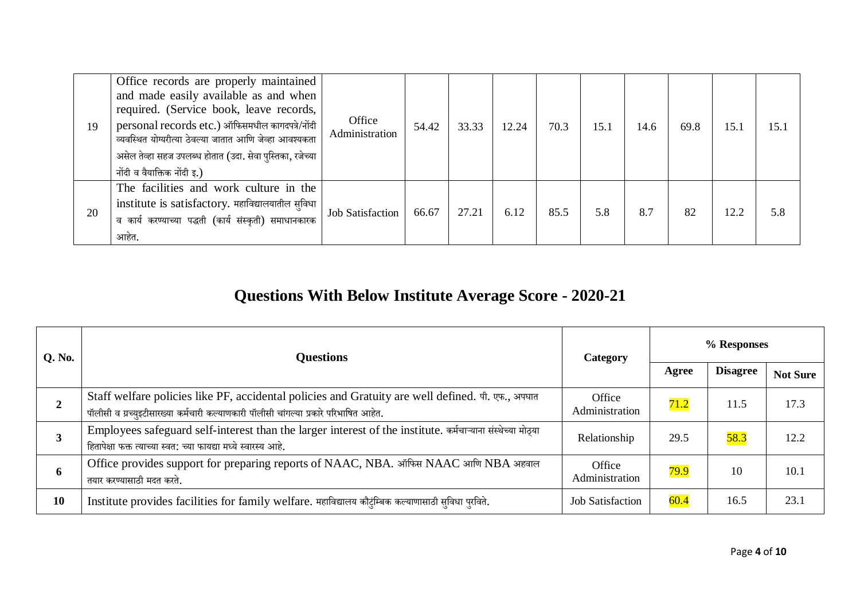| 19 | Office records are properly maintained<br>and made easily available as and when<br>required. (Service book, leave records,<br>personal records etc.) ऑफिसमधील कागदपत्रे/नोंदी<br>व्यवस्थित योग्यरीत्या ठेवल्या जातात आणि जेव्हा आवश्यकता<br>असेल तेव्हा सहज उपलब्ध होतात (उदा. सेवा पुस्तिका, रजेच्या <sup>।</sup><br>नोंदी व वैयाक्तिक नोंदी इ.) | Office<br>Administration | 54.42 | 33.33 | 12.24 | 70.3 | 15.1 | 14.6 | 69.8 | 15.1 | 15. |
|----|---------------------------------------------------------------------------------------------------------------------------------------------------------------------------------------------------------------------------------------------------------------------------------------------------------------------------------------------------|--------------------------|-------|-------|-------|------|------|------|------|------|-----|
| 20 | The facilities and work culture in the<br>institute is satisfactory. महाविद्यालयातील सुविधा<br>व कार्य करण्याच्या पद्धती (कार्य संस्कृती) समाधानकारक<br>आहेत.                                                                                                                                                                                     | <b>Job Satisfaction</b>  | 66.67 | 27.21 | 6.12  | 85.5 | 5.8  | 8.7  | 82   | 12.2 | 5.8 |

## **Questions With Below Institute Average Score - 2020-21**

| Q. No. | <b>Questions</b>                                                                                                                                                                           | Category                 |       | % Responses     |                 |  |  |
|--------|--------------------------------------------------------------------------------------------------------------------------------------------------------------------------------------------|--------------------------|-------|-----------------|-----------------|--|--|
|        |                                                                                                                                                                                            |                          | Agree | <b>Disagree</b> | <b>Not Sure</b> |  |  |
|        | Staff welfare policies like PF, accidental policies and Gratuity are well defined. पी. एफ., अपघात<br>पॉलीसी व ग्रच्युइटीसारख्या कर्मचारी कल्याणकारी पॉलीसी चांगल्या प्रकारे परिभाषित आहेत. | Office<br>Administration | 71.2  | 11.5            | 17.3            |  |  |
| 3      | Employees safeguard self-interest than the larger interest of the institute. कर्मचाऱ्याना संस्थेच्या मोठ्या<br>हितापेक्षा फक्त त्याच्या स्वत: च्या फायद्या मध्ये स्वारस्य आहे.             | Relationship             | 29.5  | 58.3            | 12.2            |  |  |
| 6      | Office provides support for preparing reports of NAAC, NBA. ऑफिस NAAC आणि NBA अहवाल<br>तयार करण्यासाठी मदत करते.                                                                           | Office<br>Administration | 79.9  | 10              | 10.1            |  |  |
| 10     | Institute provides facilities for family welfare. महाविद्यालय कौट्टम्बिक कल्याणासाठी सुविधा पुरविते.                                                                                       | <b>Job Satisfaction</b>  | 60.4  | 16.5            | 23.1            |  |  |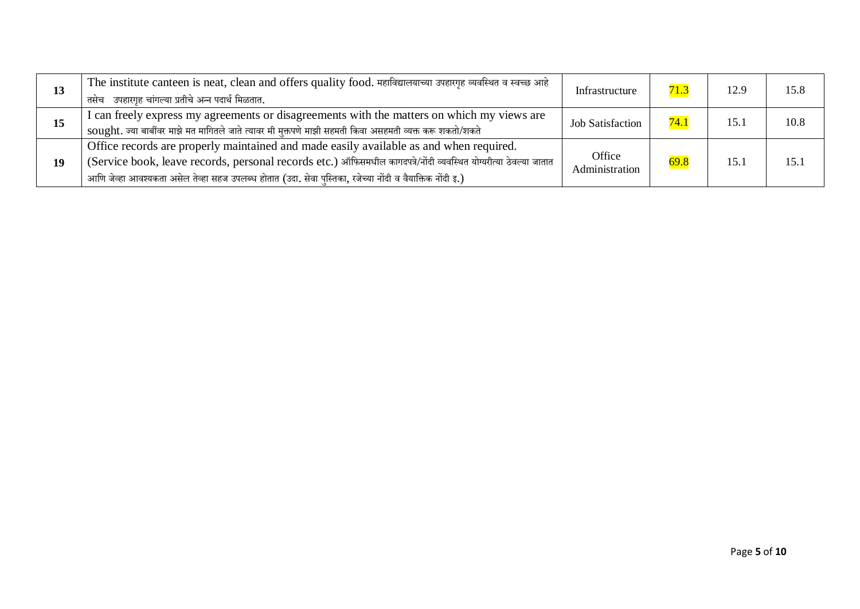| 13 | The institute canteen is neat, clean and offers quality food. महाविद्यालयाच्या उपहारगृह व्यवस्थित व स्वच्छ आहे<br>तसेच उपहारगृह चांगल्या प्रतीचे अन्न पदार्थ मिळतात.                                                                                                                                                     | Infrastructure           | 71.3 | 12.9 | 15.8 |
|----|--------------------------------------------------------------------------------------------------------------------------------------------------------------------------------------------------------------------------------------------------------------------------------------------------------------------------|--------------------------|------|------|------|
| 15 | I can freely express my agreements or disagreements with the matters on which my views are<br>sought. ज्या बार्बीवर माझे मत मागितले जाते त्यावर मी मुक्तपणे माझी सहमती किवा असहमती व्यक्त करू शकतो/शकते                                                                                                                  | <b>Job Satisfaction</b>  | 74.  | 15.1 | 10.8 |
| 19 | Office records are properly maintained and made easily available as and when required.<br>(Service book, leave records, personal records etc.) ऑफिसमधील कागदपत्रे/नोंदी व्यवस्थित योग्यरीत्या ठेवल्या जातात<br>आणि जेव्हा आवश्यकता असेल तेव्हा सहज उपलब्ध होतात (उदा. सेवा पुस्तिका, रजेच्या नोंदी व वैयाक्तिक नोंदी इ.) | Office<br>Administration | 69.8 | 15.1 | 15.1 |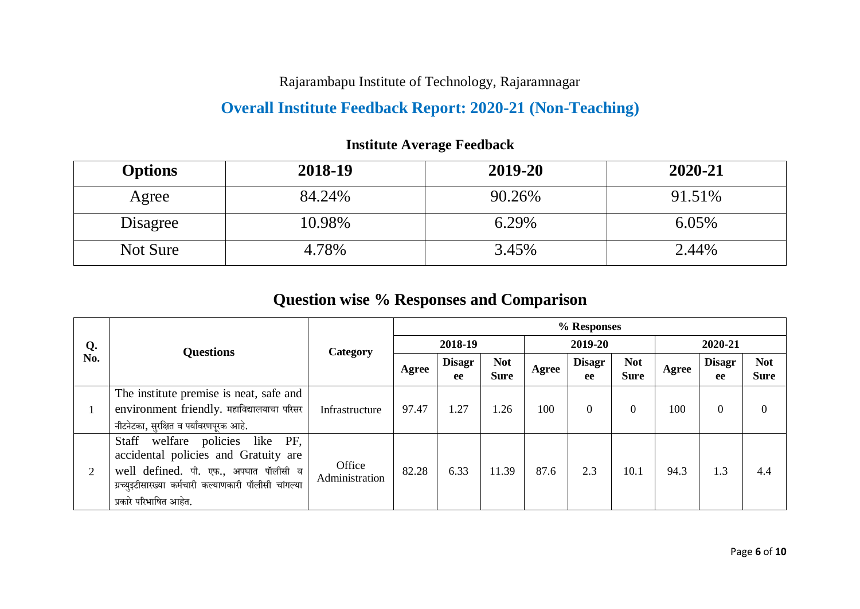Rajarambapu Institute of Technology, Rajaramnagar

## **Overall Institute Feedback Report: 2020-21 (Non-Teaching)**

| <b>Options</b> | 2018-19 | 2019-20 | 2020-21 |
|----------------|---------|---------|---------|
| Agree          | 84.24%  | 90.26%  | 91.51%  |
| Disagree       | 10.98%  | 6.29%   | 6.05%   |
| Not Sure       | 4.78%   | 3.45%   | 2.44%   |

## **Institute Average Feedback**

## **Question wise % Responses and Comparison**

|     |                                                                                                                                                                                                     |                          | % Responses |                     |                           |       |                     |                           |         |                     |                           |  |
|-----|-----------------------------------------------------------------------------------------------------------------------------------------------------------------------------------------------------|--------------------------|-------------|---------------------|---------------------------|-------|---------------------|---------------------------|---------|---------------------|---------------------------|--|
| Q.  | <b>Questions</b>                                                                                                                                                                                    | Category                 |             | 2018-19             |                           |       | 2019-20             |                           | 2020-21 |                     |                           |  |
| No. |                                                                                                                                                                                                     |                          | Agree       | <b>Disagr</b><br>ee | <b>Not</b><br><b>Sure</b> | Agree | <b>Disagr</b><br>ee | <b>Not</b><br><b>Sure</b> | Agree   | <b>Disagr</b><br>ee | <b>Not</b><br><b>Sure</b> |  |
|     | The institute premise is neat, safe and<br>environment friendly. महाविद्यालयाचा परिसर<br>नीटनेटका, सुरक्षित व पर्यावरणपूरक आहे.                                                                     | Infrastructure           | 97.47       | 1.27                | 1.26                      | 100   | $\overline{0}$      | $\Omega$                  | 100     |                     |                           |  |
| 2   | Staff welfare policies like PF,<br>accidental policies and Gratuity are<br>well defined. पी. एफ., अपघात पॉलीसी व<br>ग्रच्युइटीसारख्या कर्मचारी कल्याणकारी पॉलीसी चांगल्या<br>प्रकारे परिभाषित आहेत. | Office<br>Administration | 82.28       | 6.33                | 11.39                     | 87.6  | 2.3                 | 10.1                      | 94.3    | 1.3                 | 4.4                       |  |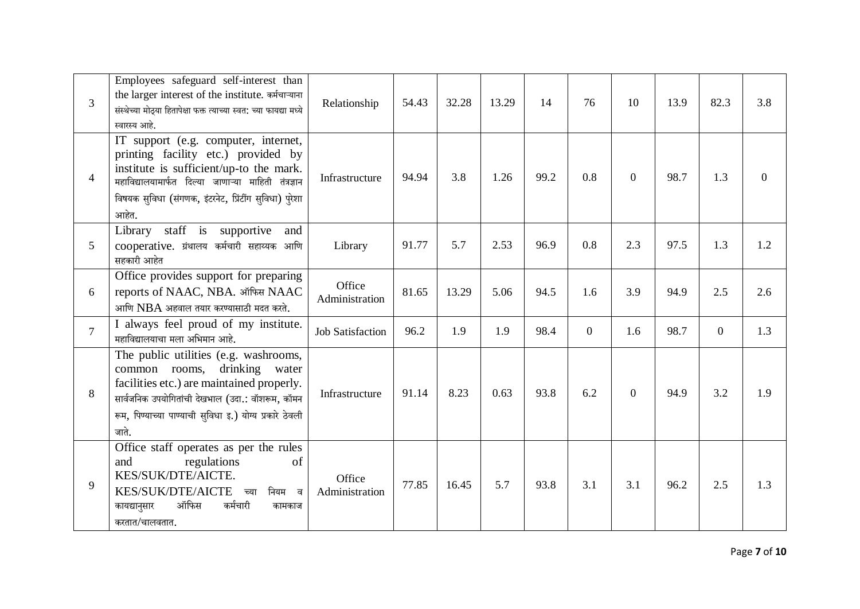| $\overline{3}$ | Employees safeguard self-interest than<br>the larger interest of the institute. कर्मचाऱ्याना<br>संस्थेच्या मोठ्या हितापेक्षा फक्त त्याच्या स्वत: च्या फायद्या मध्ये<br>स्वारस्य आहे.                                                              | Relationship             | 54.43 | 32.28 | 13.29 | 14   | 76             | 10             | 13.9 | 82.3           | 3.8 |
|----------------|---------------------------------------------------------------------------------------------------------------------------------------------------------------------------------------------------------------------------------------------------|--------------------------|-------|-------|-------|------|----------------|----------------|------|----------------|-----|
| $\overline{4}$ | IT support (e.g. computer, internet,<br>printing facility etc.) provided by<br>institute is sufficient/up-to the mark.<br>महाविद्यालयामार्फत दिल्या जाणाऱ्या माहिती तंत्रज्ञान<br>विषयक सुविधा (संगणक, इंटरनेट, प्रिंटींग सुविधा) पुरेशा<br>आहेत. | Infrastructure           | 94.94 | 3.8   | 1.26  | 99.2 | 0.8            | $\Omega$       | 98.7 | 1.3            | 0   |
| 5              | Library staff is supportive<br>and<br>cooperative. ग्रंथालय कर्मचारी सहाय्यक आणि<br>सहकारी आहेत                                                                                                                                                   | Library                  | 91.77 | 5.7   | 2.53  | 96.9 | 0.8            | 2.3            | 97.5 | 1.3            | 1.2 |
| 6              | Office provides support for preparing<br>reports of NAAC, NBA. ऑफिस NAAC<br>आणि $NBA$ अहवाल तयार करण्यासाठी मदत करते.                                                                                                                             | Office<br>Administration | 81.65 | 13.29 | 5.06  | 94.5 | 1.6            | 3.9            | 94.9 | 2.5            | 2.6 |
| $\overline{7}$ | I always feel proud of my institute.<br>महाविद्यालयाचा मला अभिमान आहे.                                                                                                                                                                            | <b>Job Satisfaction</b>  | 96.2  | 1.9   | 1.9   | 98.4 | $\overline{0}$ | 1.6            | 98.7 | $\overline{0}$ | 1.3 |
| 8              | The public utilities (e.g. washrooms,<br>drinking water<br>common rooms,<br>facilities etc.) are maintained properly.<br>सार्वजनिक उपयोगितांची देखभाल (उदा.: वॉशरूम, कॉमन<br>रूम, पिण्याच्या पाण्याची सुविधा इ.) योग्य प्रकारे ठेवली<br>जाते.     | Infrastructure           | 91.14 | 8.23  | 0.63  | 93.8 | 6.2            | $\overline{0}$ | 94.9 | 3.2            | 1.9 |
| 9              | Office staff operates as per the rules<br>regulations<br>and<br>of<br>KES/SUK/DTE/AICTE.<br>KES/SUK/DTE/AICTE<br>नियम व<br>च्या<br>ऑफिस<br>कर्मचारी<br>कायद्यानुसार<br>कामकाज<br>करतात/चालवतात.                                                   | Office<br>Administration | 77.85 | 16.45 | 5.7   | 93.8 | 3.1            | 3.1            | 96.2 | 2.5            | 1.3 |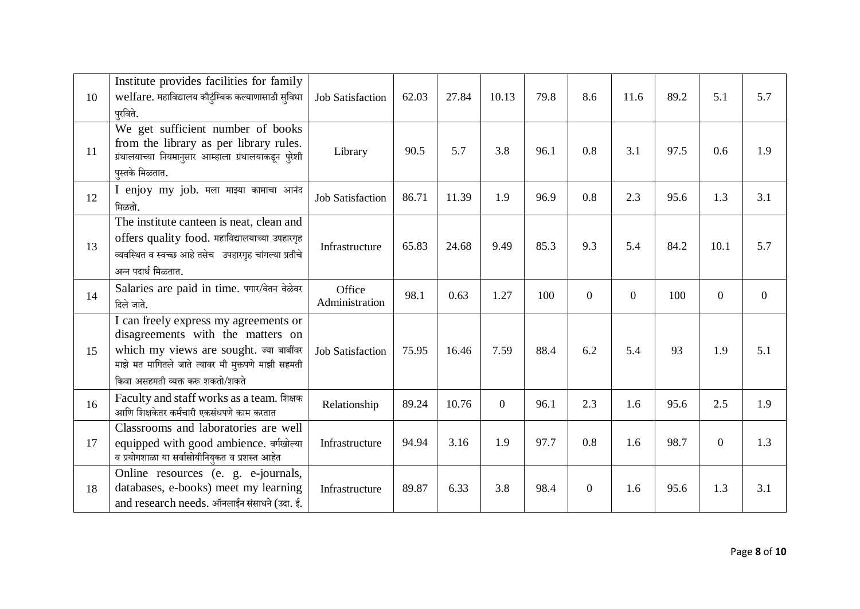| 10 | Institute provides facilities for family<br>welfare. महाविद्यालय कौटुंम्बिक कल्याणासाठी सुविधा<br>परविते.                                                                                                     | <b>Job Satisfaction</b>  | 62.03 | 27.84 | 10.13    | 79.8 | 8.6              | 11.6           | 89.2 | 5.1            | 5.7              |
|----|---------------------------------------------------------------------------------------------------------------------------------------------------------------------------------------------------------------|--------------------------|-------|-------|----------|------|------------------|----------------|------|----------------|------------------|
| 11 | We get sufficient number of books<br>from the library as per library rules.<br>ग्रंथालयाच्या नियमानुसार आम्हाला ग्रंथालयाकडून पुरेशी                                                                          | Library                  | 90.5  | 5.7   | 3.8      | 96.1 | 0.8              | 3.1            | 97.5 | 0.6            | 1.9              |
| 12 | पुस्तके मिळतात.<br>I enjoy my job. मला माझ्या कामाचा आनंद<br>मिळतो.                                                                                                                                           | <b>Job Satisfaction</b>  | 86.71 | 11.39 | 1.9      | 96.9 | 0.8              | 2.3            | 95.6 | 1.3            | 3.1              |
| 13 | The institute canteen is neat, clean and<br>offers quality food. महाविद्यालयाच्या उपहारगृह<br>व्यवस्थित व स्वच्छ आहे तसेच उपहारगृह चांगल्या प्रतीचे<br>अन्न पदार्थ मिळतात.                                    | Infrastructure           | 65.83 | 24.68 | 9.49     | 85.3 | 9.3              | 5.4            | 84.2 | 10.1           | 5.7              |
| 14 | Salaries are paid in time. पगार/वेतन वेळेवर<br>दिले जाते.                                                                                                                                                     | Office<br>Administration | 98.1  | 0.63  | 1.27     | 100  | $\overline{0}$   | $\overline{0}$ | 100  | $\mathbf{0}$   | $\boldsymbol{0}$ |
| 15 | can freely express my agreements or<br>disagreements with the matters on<br>which my views are sought. ज्या बाबींवर<br>माझे मत मागितले जाते त्यावर मी मुक्तपणे माझी सहमती<br>किवा असहमती व्यक्त करू शकतो/शकते | <b>Job Satisfaction</b>  | 75.95 | 16.46 | 7.59     | 88.4 | 6.2              | 5.4            | 93   | 1.9            | 5.1              |
| 16 | Faculty and staff works as a team. शिक्षक<br>आणि शिक्षकेतर कर्मचारी एकसंधपणे काम करतात                                                                                                                        | Relationship             | 89.24 | 10.76 | $\Omega$ | 96.1 | 2.3              | 1.6            | 95.6 | 2.5            | 1.9              |
| 17 | Classrooms and laboratories are well<br>equipped with good ambience. वर्गखोल्या<br>व प्रयोगशाळा या सर्वासोयीनियुकत व प्रशस्त आहेत                                                                             | Infrastructure           | 94.94 | 3.16  | 1.9      | 97.7 | 0.8              | 1.6            | 98.7 | $\overline{0}$ | 1.3              |
| 18 | Online resources (e. g. e-journals,<br>databases, e-books) meet my learning<br>and research needs. ऑनलाईन संसाधने (उदा. ई.                                                                                    | Infrastructure           | 89.87 | 6.33  | 3.8      | 98.4 | $\boldsymbol{0}$ | 1.6            | 95.6 | 1.3            | 3.1              |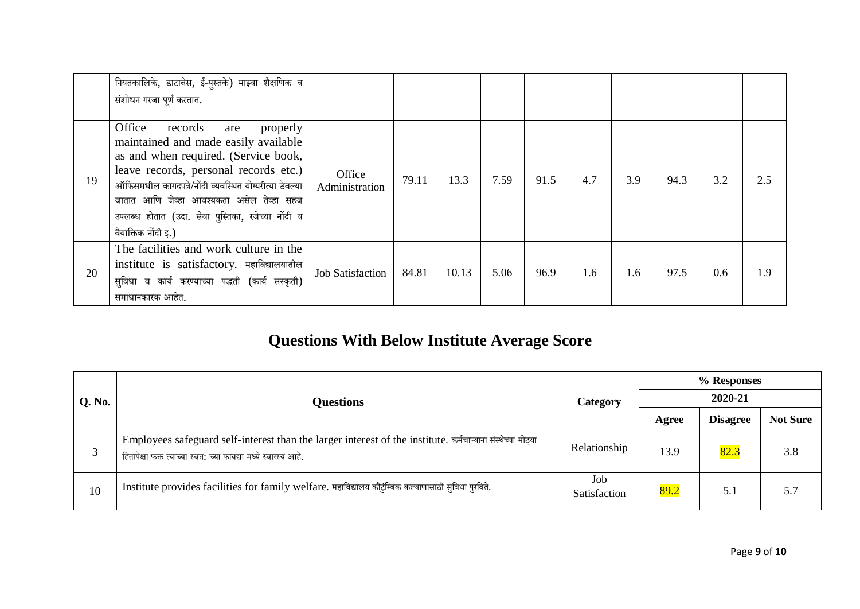|    | नियतकालिके, डाटाबेस, ई-पुस्तके) माझ्या शैक्षणिक व<br>संशोधन गरजा पूर्ण करतात.                                                                                                                                                                                                                                                                    |                          |       |       |      |      |     |     |      |     |     |
|----|--------------------------------------------------------------------------------------------------------------------------------------------------------------------------------------------------------------------------------------------------------------------------------------------------------------------------------------------------|--------------------------|-------|-------|------|------|-----|-----|------|-----|-----|
| 19 | Office<br>properly<br>records<br>are<br>maintained and made easily available<br>as and when required. (Service book,<br>leave records, personal records etc.)<br>ऑफिसमधील कागदपत्रे/नोंदी व्यवस्थित योग्यरीत्या ठेवल्या<br>जातात आणि जेव्हा आवश्यकता असेल तेव्हा सहज<br>उपलब्ध होतात (उदा. सेवा पुस्तिका, रजेच्या नोंदी व<br>वैयाक्तिक नोंदी इ.) | Office<br>Administration | 79.11 | 13.3  | 7.59 | 91.5 | 4.7 | 3.9 | 94.3 | 3.2 | 2.5 |
| 20 | The facilities and work culture in the<br>institute is satisfactory. महाविद्यालयातील<br>सुविधा व कार्य करण्याच्या पद्धती (कार्य संस्कृती)<br>समाधानकारक आहेत.                                                                                                                                                                                    | <b>Job Satisfaction</b>  | 84.81 | 10.13 | 5.06 | 96.9 | 1.6 | 1.6 | 97.5 | 0.6 | 1.9 |

## **Questions With Below Institute Average Score**

|        |                                                                                                                                                                                |                     | % Responses |                 |                 |  |  |  |
|--------|--------------------------------------------------------------------------------------------------------------------------------------------------------------------------------|---------------------|-------------|-----------------|-----------------|--|--|--|
| Q. No. | <b>Questions</b>                                                                                                                                                               | Category            | 2020-21     |                 |                 |  |  |  |
|        |                                                                                                                                                                                |                     | Agree       | <b>Disagree</b> | <b>Not Sure</b> |  |  |  |
| 3      | Employees safeguard self-interest than the larger interest of the institute. कर्मचाऱ्याना संस्थेच्या मोठ्या<br>हितापेक्षा फक्त त्याच्या स्वत: च्या फायद्या मध्ये स्वारस्य आहे. | Relationship        | 13.9        | 82.3            | 3.8             |  |  |  |
| 10     | Institute provides facilities for family welfare. महाविद्यालय कौटुंम्बिक कल्याणासाठी सुविधा पुरविते.                                                                           | Job<br>Satisfaction | 89.2        | 5.1             | 5.7             |  |  |  |